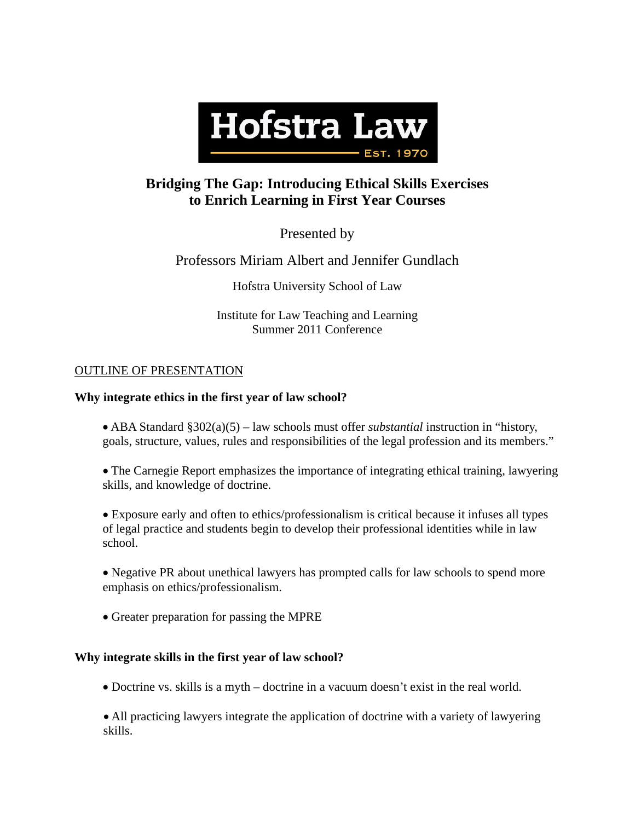

# **Bridging The Gap: Introducing Ethical Skills Exercises to Enrich Learning in First Year Courses**

Presented by

Professors Miriam Albert and Jennifer Gundlach

Hofstra University School of Law

Institute for Law Teaching and Learning Summer 2011 Conference

# OUTLINE OF PRESENTATION

# **Why integrate ethics in the first year of law school?**

 ABA Standard §302(a)(5) – law schools must offer *substantial* instruction in "history, goals, structure, values, rules and responsibilities of the legal profession and its members."

 The Carnegie Report emphasizes the importance of integrating ethical training, lawyering skills, and knowledge of doctrine.

 Exposure early and often to ethics/professionalism is critical because it infuses all types of legal practice and students begin to develop their professional identities while in law school.

• Negative PR about unethical lawyers has prompted calls for law schools to spend more emphasis on ethics/professionalism.

• Greater preparation for passing the MPRE

## **Why integrate skills in the first year of law school?**

Doctrine vs. skills is a myth – doctrine in a vacuum doesn't exist in the real world.

 All practicing lawyers integrate the application of doctrine with a variety of lawyering skills.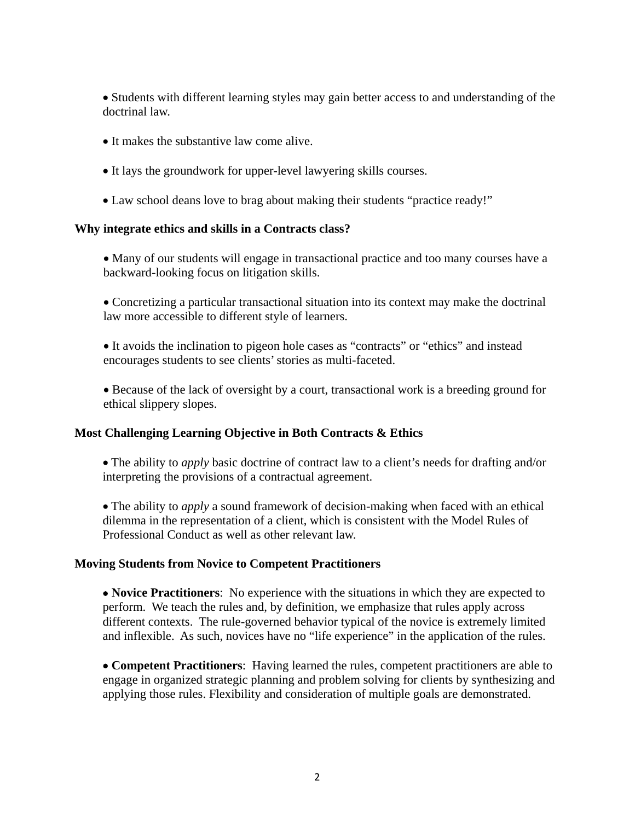• Students with different learning styles may gain better access to and understanding of the doctrinal law.

- It makes the substantive law come alive.
- It lays the groundwork for upper-level lawyering skills courses.
- Law school deans love to brag about making their students "practice ready!"

## **Why integrate ethics and skills in a Contracts class?**

• Many of our students will engage in transactional practice and too many courses have a backward-looking focus on litigation skills.

 Concretizing a particular transactional situation into its context may make the doctrinal law more accessible to different style of learners.

 It avoids the inclination to pigeon hole cases as "contracts" or "ethics" and instead encourages students to see clients' stories as multi-faceted.

 Because of the lack of oversight by a court, transactional work is a breeding ground for ethical slippery slopes.

## **Most Challenging Learning Objective in Both Contracts & Ethics**

 The ability to *apply* basic doctrine of contract law to a client's needs for drafting and/or interpreting the provisions of a contractual agreement.

 The ability to *apply* a sound framework of decision-making when faced with an ethical dilemma in the representation of a client, which is consistent with the Model Rules of Professional Conduct as well as other relevant law.

## **Moving Students from Novice to Competent Practitioners**

 **Novice Practitioners**: No experience with the situations in which they are expected to perform. We teach the rules and, by definition, we emphasize that rules apply across different contexts. The rule-governed behavior typical of the novice is extremely limited and inflexible. As such, novices have no "life experience" in the application of the rules.

 **Competent Practitioners**: Having learned the rules, competent practitioners are able to engage in organized strategic planning and problem solving for clients by synthesizing and applying those rules. Flexibility and consideration of multiple goals are demonstrated.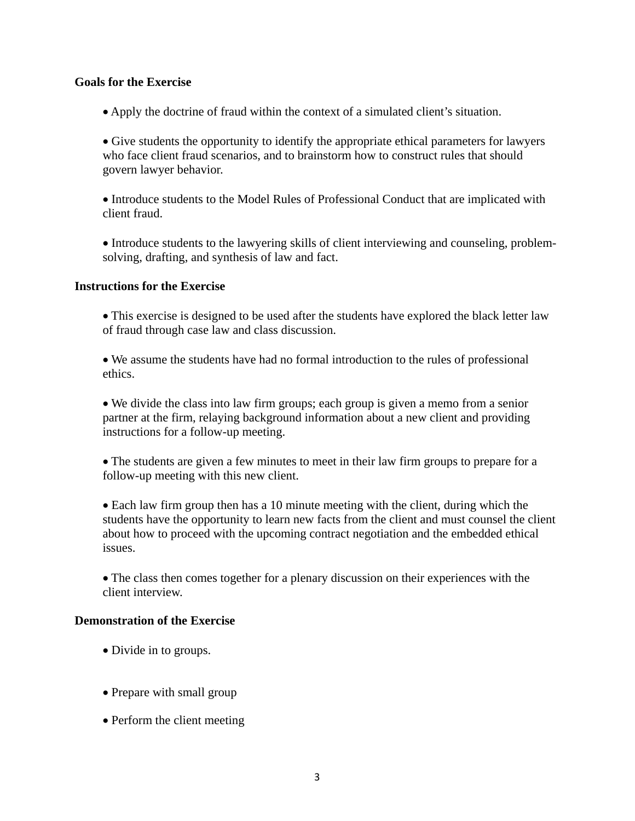#### **Goals for the Exercise**

Apply the doctrine of fraud within the context of a simulated client's situation.

 Give students the opportunity to identify the appropriate ethical parameters for lawyers who face client fraud scenarios, and to brainstorm how to construct rules that should govern lawyer behavior.

 Introduce students to the Model Rules of Professional Conduct that are implicated with client fraud.

 Introduce students to the lawyering skills of client interviewing and counseling, problemsolving, drafting, and synthesis of law and fact.

#### **Instructions for the Exercise**

 This exercise is designed to be used after the students have explored the black letter law of fraud through case law and class discussion.

 We assume the students have had no formal introduction to the rules of professional ethics.

 We divide the class into law firm groups; each group is given a memo from a senior partner at the firm, relaying background information about a new client and providing instructions for a follow-up meeting.

 The students are given a few minutes to meet in their law firm groups to prepare for a follow-up meeting with this new client.

 Each law firm group then has a 10 minute meeting with the client, during which the students have the opportunity to learn new facts from the client and must counsel the client about how to proceed with the upcoming contract negotiation and the embedded ethical issues.

 The class then comes together for a plenary discussion on their experiences with the client interview.

#### **Demonstration of the Exercise**

- Divide in to groups.
- Prepare with small group
- Perform the client meeting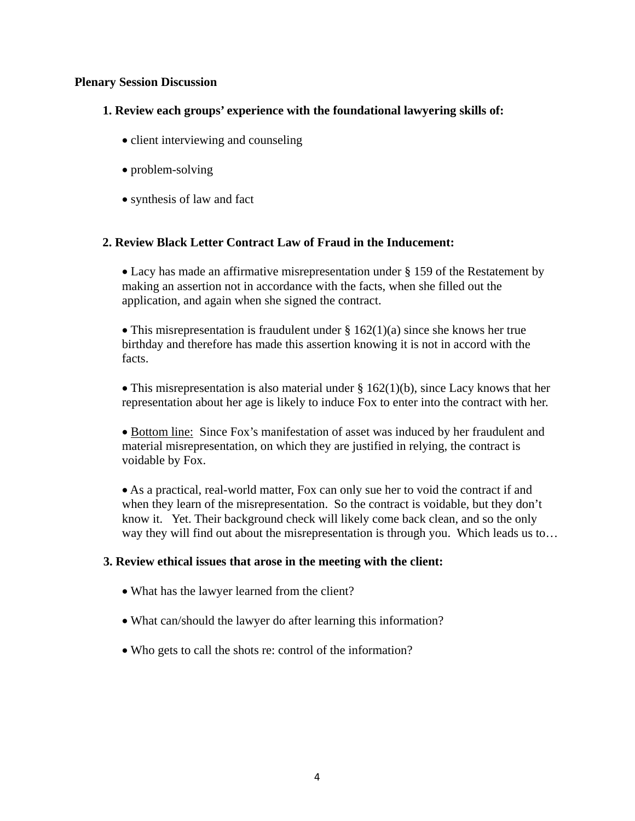## **Plenary Session Discussion**

# **1. Review each groups' experience with the foundational lawyering skills of:**

- client interviewing and counseling
- problem-solving
- synthesis of law and fact

# **2. Review Black Letter Contract Law of Fraud in the Inducement:**

 Lacy has made an affirmative misrepresentation under § 159 of the Restatement by making an assertion not in accordance with the facts, when she filled out the application, and again when she signed the contract.

• This misrepresentation is fraudulent under  $\S 162(1)(a)$  since she knows her true birthday and therefore has made this assertion knowing it is not in accord with the facts.

• This misrepresentation is also material under  $\S 162(1)(b)$ , since Lacy knows that her representation about her age is likely to induce Fox to enter into the contract with her.

 Bottom line: Since Fox's manifestation of asset was induced by her fraudulent and material misrepresentation, on which they are justified in relying, the contract is voidable by Fox.

 As a practical, real-world matter, Fox can only sue her to void the contract if and when they learn of the misrepresentation. So the contract is voidable, but they don't know it. Yet. Their background check will likely come back clean, and so the only way they will find out about the misrepresentation is through you. Which leads us to...

## **3. Review ethical issues that arose in the meeting with the client:**

- What has the lawyer learned from the client?
- What can/should the lawyer do after learning this information?
- Who gets to call the shots re: control of the information?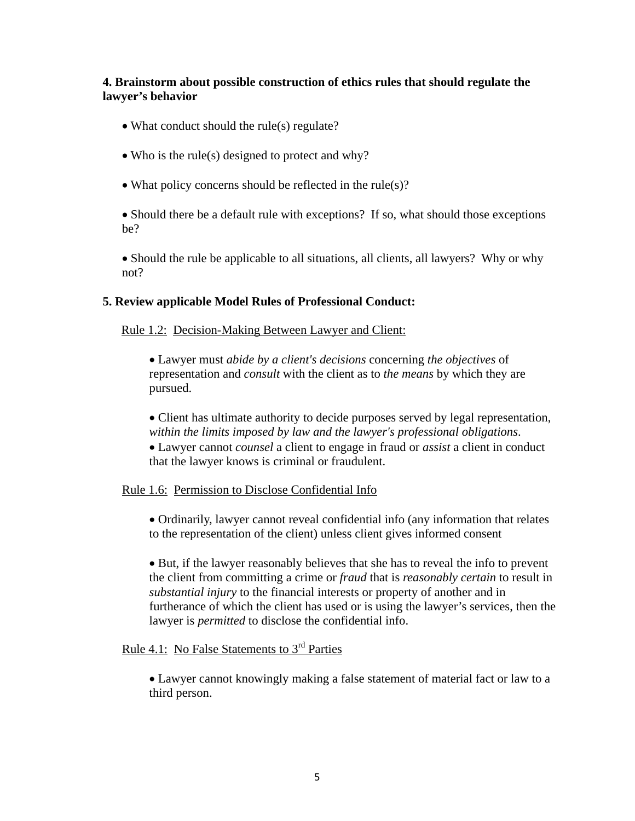# **4. Brainstorm about possible construction of ethics rules that should regulate the lawyer's behavior**

- What conduct should the rule(s) regulate?
- Who is the rule(s) designed to protect and why?
- What policy concerns should be reflected in the rule(s)?

• Should there be a default rule with exceptions? If so, what should those exceptions be?

• Should the rule be applicable to all situations, all clients, all lawyers? Why or why not?

# **5. Review applicable Model Rules of Professional Conduct:**

## Rule 1.2: Decision-Making Between Lawyer and Client:

 Lawyer must *abide by a client's decisions* concerning *the objectives* of representation and *consult* with the client as to *the means* by which they are pursued.

• Client has ultimate authority to decide purposes served by legal representation, *within the limits imposed by law and the lawyer's professional obligations*.

 Lawyer cannot *counsel* a client to engage in fraud or *assist* a client in conduct that the lawyer knows is criminal or fraudulent.

## Rule 1.6: Permission to Disclose Confidential Info

 Ordinarily, lawyer cannot reveal confidential info (any information that relates to the representation of the client) unless client gives informed consent

 But, if the lawyer reasonably believes that she has to reveal the info to prevent the client from committing a crime or *fraud* that is *reasonably certain* to result in *substantial injury* to the financial interests or property of another and in furtherance of which the client has used or is using the lawyer's services, then the lawyer is *permitted* to disclose the confidential info.

# Rule 4.1: No False Statements to 3<sup>rd</sup> Parties

 Lawyer cannot knowingly making a false statement of material fact or law to a third person.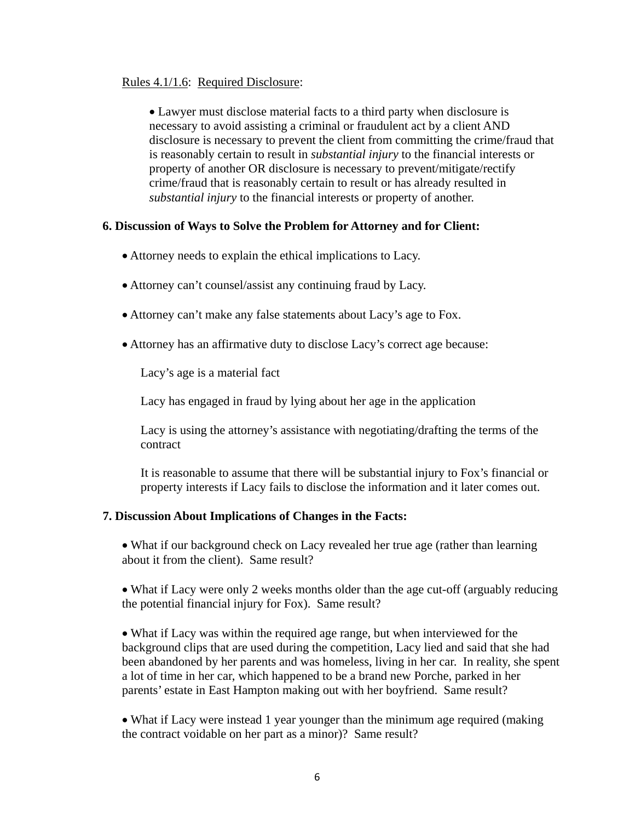# Rules 4.1/1.6: Required Disclosure:

 Lawyer must disclose material facts to a third party when disclosure is necessary to avoid assisting a criminal or fraudulent act by a client AND disclosure is necessary to prevent the client from committing the crime/fraud that is reasonably certain to result in *substantial injury* to the financial interests or property of another OR disclosure is necessary to prevent/mitigate/rectify crime/fraud that is reasonably certain to result or has already resulted in *substantial injury* to the financial interests or property of another.

## **6. Discussion of Ways to Solve the Problem for Attorney and for Client:**

- Attorney needs to explain the ethical implications to Lacy.
- Attorney can't counsel/assist any continuing fraud by Lacy.
- Attorney can't make any false statements about Lacy's age to Fox.
- Attorney has an affirmative duty to disclose Lacy's correct age because:

Lacy's age is a material fact

Lacy has engaged in fraud by lying about her age in the application

Lacy is using the attorney's assistance with negotiating/drafting the terms of the contract

It is reasonable to assume that there will be substantial injury to Fox's financial or property interests if Lacy fails to disclose the information and it later comes out.

#### **7. Discussion About Implications of Changes in the Facts:**

• What if our background check on Lacy revealed her true age (rather than learning about it from the client). Same result?

 What if Lacy were only 2 weeks months older than the age cut-off (arguably reducing the potential financial injury for Fox). Same result?

 What if Lacy was within the required age range, but when interviewed for the background clips that are used during the competition, Lacy lied and said that she had been abandoned by her parents and was homeless, living in her car. In reality, she spent a lot of time in her car, which happened to be a brand new Porche, parked in her parents' estate in East Hampton making out with her boyfriend. Same result?

 What if Lacy were instead 1 year younger than the minimum age required (making the contract voidable on her part as a minor)? Same result?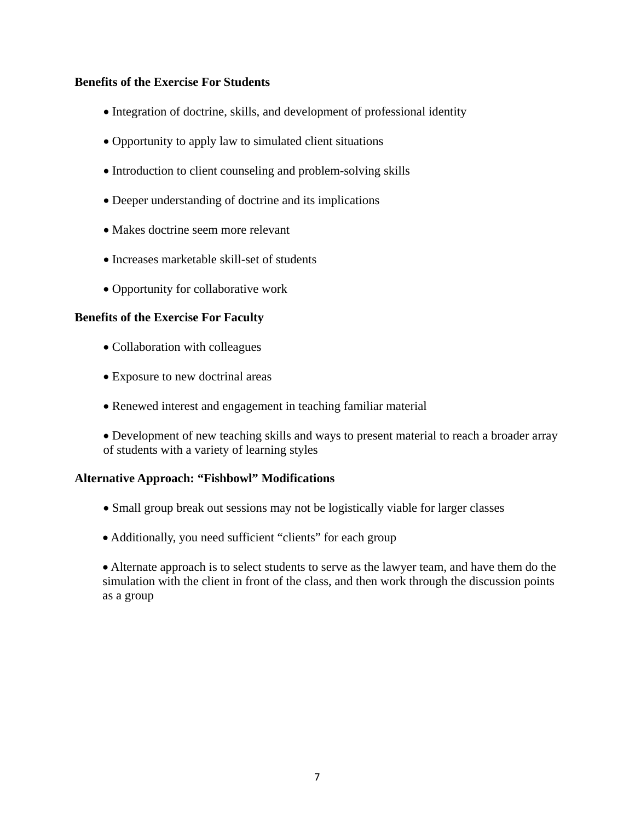# **Benefits of the Exercise For Students**

- Integration of doctrine, skills, and development of professional identity
- Opportunity to apply law to simulated client situations
- Introduction to client counseling and problem-solving skills
- Deeper understanding of doctrine and its implications
- Makes doctrine seem more relevant
- Increases marketable skill-set of students
- Opportunity for collaborative work

## **Benefits of the Exercise For Faculty**

- Collaboration with colleagues
- Exposure to new doctrinal areas
- Renewed interest and engagement in teaching familiar material
- Development of new teaching skills and ways to present material to reach a broader array of students with a variety of learning styles

# **Alternative Approach: "Fishbowl" Modifications**

- Small group break out sessions may not be logistically viable for larger classes
- Additionally, you need sufficient "clients" for each group

 Alternate approach is to select students to serve as the lawyer team, and have them do the simulation with the client in front of the class, and then work through the discussion points as a group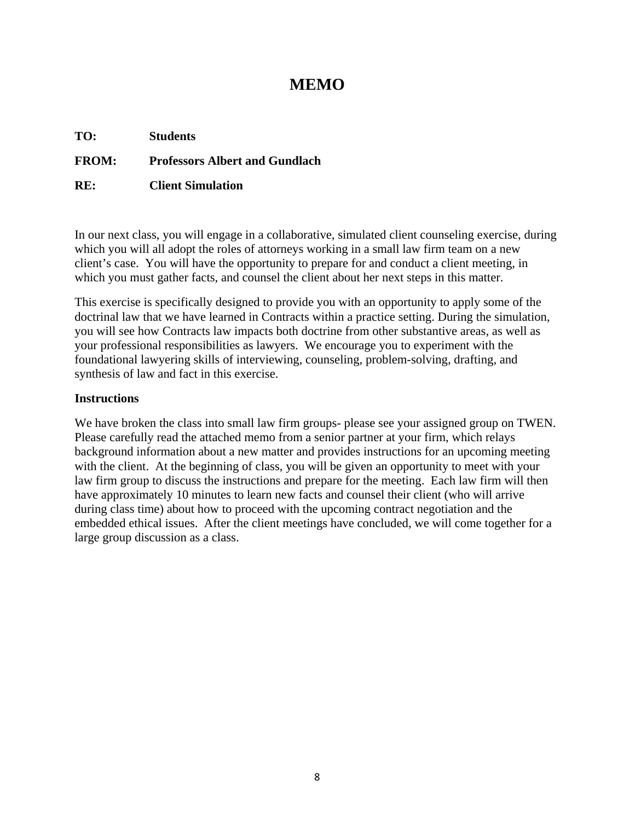# **MEMO**

**TO: Students FROM: Professors Albert and Gundlach RE: Client Simulation** 

In our next class, you will engage in a collaborative, simulated client counseling exercise, during which you will all adopt the roles of attorneys working in a small law firm team on a new client's case. You will have the opportunity to prepare for and conduct a client meeting, in which you must gather facts, and counsel the client about her next steps in this matter.

This exercise is specifically designed to provide you with an opportunity to apply some of the doctrinal law that we have learned in Contracts within a practice setting. During the simulation, you will see how Contracts law impacts both doctrine from other substantive areas, as well as your professional responsibilities as lawyers. We encourage you to experiment with the foundational lawyering skills of interviewing, counseling, problem-solving, drafting, and synthesis of law and fact in this exercise.

# **Instructions**

We have broken the class into small law firm groups- please see your assigned group on TWEN. Please carefully read the attached memo from a senior partner at your firm, which relays background information about a new matter and provides instructions for an upcoming meeting with the client. At the beginning of class, you will be given an opportunity to meet with your law firm group to discuss the instructions and prepare for the meeting. Each law firm will then have approximately 10 minutes to learn new facts and counsel their client (who will arrive during class time) about how to proceed with the upcoming contract negotiation and the embedded ethical issues. After the client meetings have concluded, we will come together for a large group discussion as a class.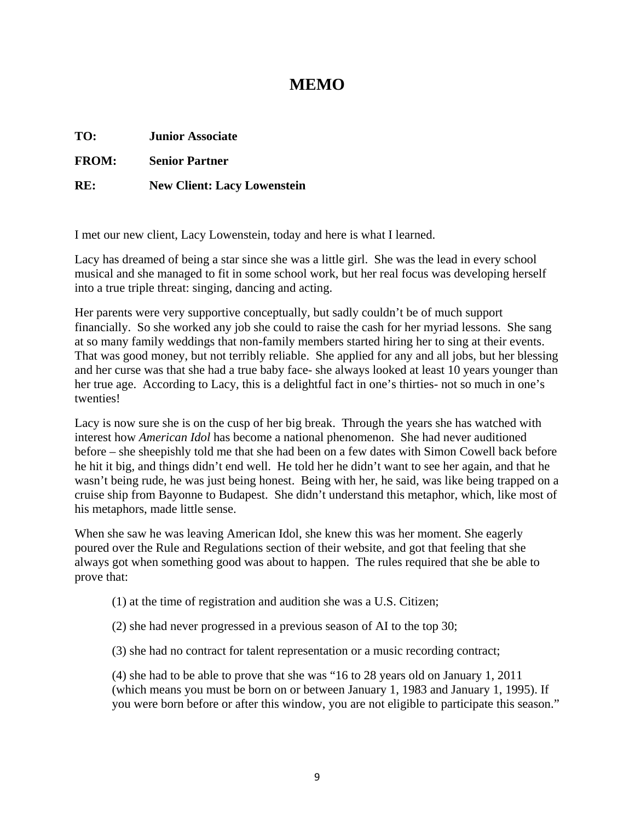# **MEMO**

**TO: Junior Associate** 

**FROM: Senior Partner** 

**RE: New Client: Lacy Lowenstein** 

I met our new client, Lacy Lowenstein, today and here is what I learned.

Lacy has dreamed of being a star since she was a little girl. She was the lead in every school musical and she managed to fit in some school work, but her real focus was developing herself into a true triple threat: singing, dancing and acting.

Her parents were very supportive conceptually, but sadly couldn't be of much support financially. So she worked any job she could to raise the cash for her myriad lessons. She sang at so many family weddings that non-family members started hiring her to sing at their events. That was good money, but not terribly reliable. She applied for any and all jobs, but her blessing and her curse was that she had a true baby face- she always looked at least 10 years younger than her true age. According to Lacy, this is a delightful fact in one's thirties- not so much in one's twenties!

Lacy is now sure she is on the cusp of her big break. Through the years she has watched with interest how *American Idol* has become a national phenomenon. She had never auditioned before – she sheepishly told me that she had been on a few dates with Simon Cowell back before he hit it big, and things didn't end well. He told her he didn't want to see her again, and that he wasn't being rude, he was just being honest. Being with her, he said, was like being trapped on a cruise ship from Bayonne to Budapest. She didn't understand this metaphor, which, like most of his metaphors, made little sense.

When she saw he was leaving American Idol, she knew this was her moment. She eagerly poured over the Rule and Regulations section of their website, and got that feeling that she always got when something good was about to happen. The rules required that she be able to prove that:

(1) at the time of registration and audition she was a U.S. Citizen;

(2) she had never progressed in a previous season of AI to the top 30;

(3) she had no contract for talent representation or a music recording contract;

(4) she had to be able to prove that she was "16 to 28 years old on January 1, 2011 (which means you must be born on or between January 1, 1983 and January 1, 1995). If you were born before or after this window, you are not eligible to participate this season."